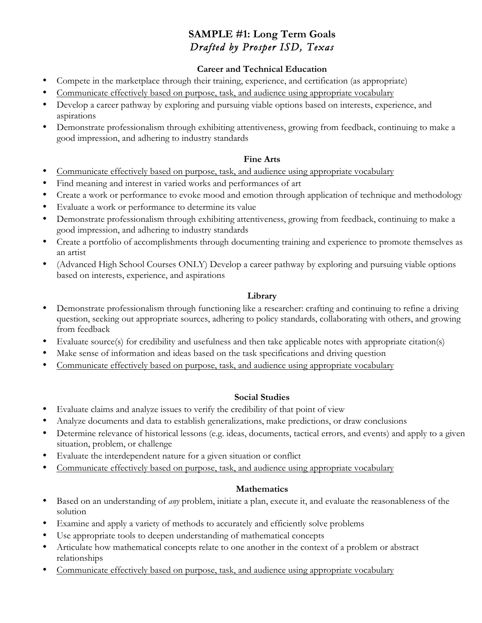# **SAMPLE #1: Long Term Goals** *Drafted by Prosper ISD, Texas*

### **Career and Technical Education**

- Compete in the marketplace through their training, experience, and certification (as appropriate)
- Communicate effectively based on purpose, task, and audience using appropriate vocabulary
- Develop a career pathway by exploring and pursuing viable options based on interests, experience, and aspirations
- Demonstrate professionalism through exhibiting attentiveness, growing from feedback, continuing to make a good impression, and adhering to industry standards

### **Fine Arts**

- Communicate effectively based on purpose, task, and audience using appropriate vocabulary
- Find meaning and interest in varied works and performances of art
- Create a work or performance to evoke mood and emotion through application of technique and methodology
- Evaluate a work or performance to determine its value
- Demonstrate professionalism through exhibiting attentiveness, growing from feedback, continuing to make a good impression, and adhering to industry standards
- Create a portfolio of accomplishments through documenting training and experience to promote themselves as an artist
- (Advanced High School Courses ONLY) Develop a career pathway by exploring and pursuing viable options based on interests, experience, and aspirations

### **Library**

- Demonstrate professionalism through functioning like a researcher: crafting and continuing to refine a driving question, seeking out appropriate sources, adhering to policy standards, collaborating with others, and growing from feedback
- Evaluate source(s) for credibility and usefulness and then take applicable notes with appropriate citation(s)
- Make sense of information and ideas based on the task specifications and driving question
- Communicate effectively based on purpose, task, and audience using appropriate vocabulary

### **Social Studies**

- Evaluate claims and analyze issues to verify the credibility of that point of view
- Analyze documents and data to establish generalizations, make predictions, or draw conclusions
- Determine relevance of historical lessons (e.g. ideas, documents, tactical errors, and events) and apply to a given situation, problem, or challenge
- Evaluate the interdependent nature for a given situation or conflict
- Communicate effectively based on purpose, task, and audience using appropriate vocabulary

### **Mathematics**

- Based on an understanding of *any* problem, initiate a plan, execute it, and evaluate the reasonableness of the solution
- Examine and apply a variety of methods to accurately and efficiently solve problems
- Use appropriate tools to deepen understanding of mathematical concepts
- Articulate how mathematical concepts relate to one another in the context of a problem or abstract relationships
- Communicate effectively based on purpose, task, and audience using appropriate vocabulary